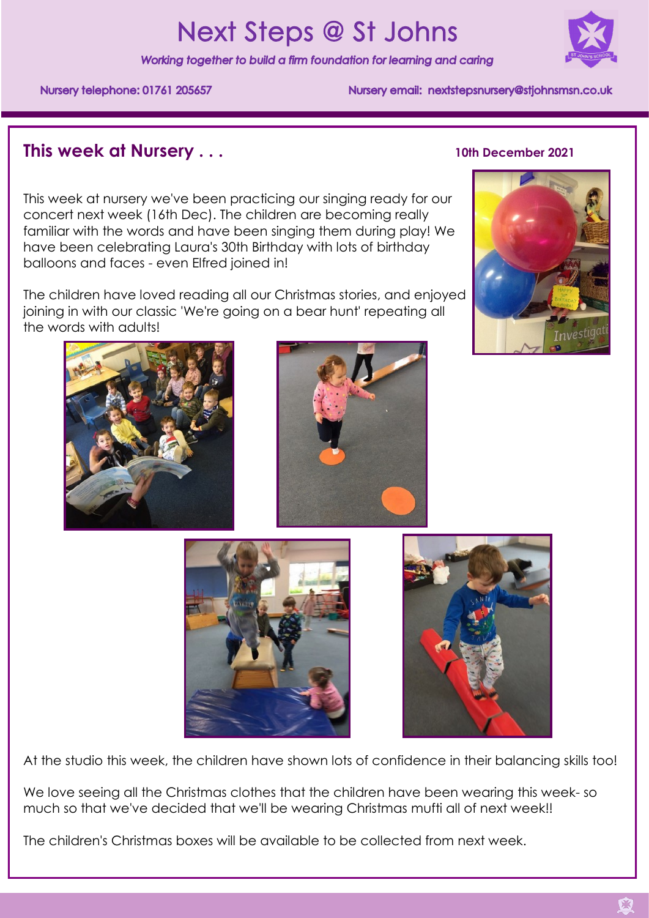# **Next Steps @ St Johns**

Working together to build a firm foundation for learning and caring



Nursery telephone: 01761 205657

Nursery email: nextstepsnursery@stiohnsmsn.co.uk

# **This week at Nursery ... 10th December 2021**

This week at nursery we've been practicing our singing ready for our concert next week (16th Dec). The children are becoming really familiar with the words and have been singing them during play! We have been celebrating Laura's 30th Birthday with lots of birthday balloons and faces - even Elfred joined in!

The children have loved reading all our Christmas stories, and enjoyed joining in with our classic 'We're going on a bear hunt' repeating all the words with adults!









At the studio this week, the children have shown lots of confidence in their balancing skills too!

We love seeing all the Christmas clothes that the children have been wearing this week- so much so that we've decided that we'll be wearing Christmas mufti all of next week!!

The children's Christmas boxes will be available to be collected from next week.